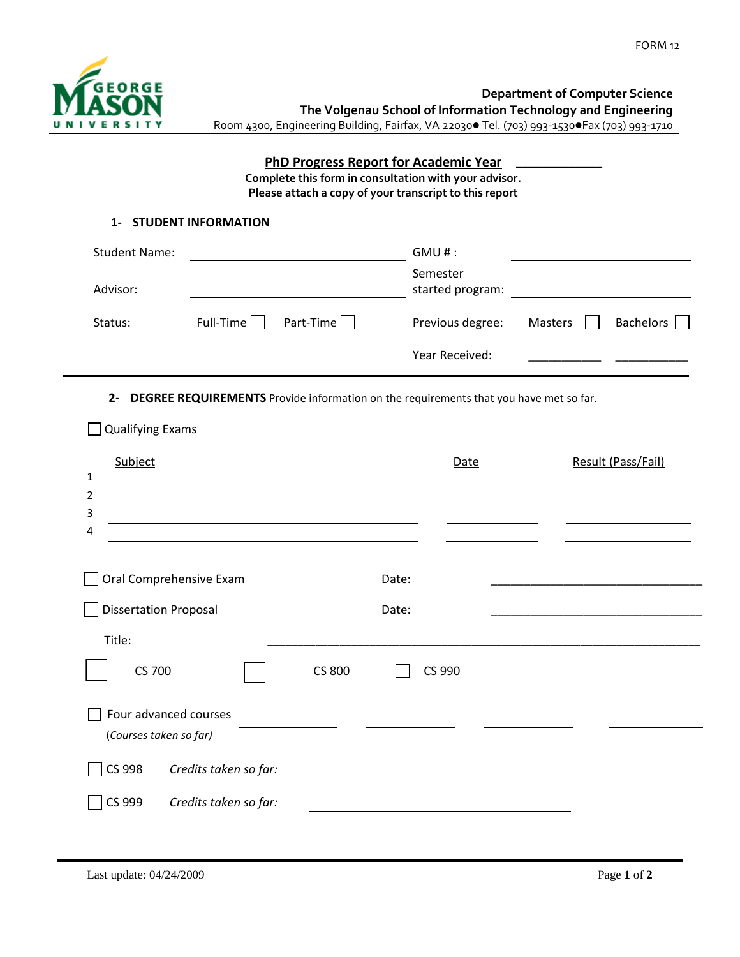

**\_\_\_\_\_\_\_\_\_\_\_\_\_**

FORM 12

**Department of Computer Science The Volgenau School of Information Technology and Engineering** Room 4300, Engineering Building, Fairfax, VA 22030 Tel. (703) 993-1530 Fax (703) 993-1710

## **PhD Progress Report for Academic Year**

**Complete this form in consultation with your advisor. Please attach a copy of your transcript to this report**

## **1- STUDENT INFORMATION**

| <b>Student Name:</b> |             |           | GMU#:                        |         |           |
|----------------------|-------------|-----------|------------------------------|---------|-----------|
| Advisor:             |             |           | Semester<br>started program: |         |           |
| Status:              | $Full-Time$ | Part-Time | Previous degree:             | Masters | Bachelors |
|                      |             |           | Year Received:               |         |           |

**2- DEGREE REQUIREMENTS** Provide information on the requirements that you have met so far.

| Subject<br>1<br>$\overline{2}$<br>3<br>4                           |                | Date | Result (Pass/Fail) |
|--------------------------------------------------------------------|----------------|------|--------------------|
| Oral Comprehensive Exam<br><b>Dissertation Proposal</b>            | Date:<br>Date: |      |                    |
| Title:<br><b>CS 800</b><br><b>CS 700</b>                           | CS 990         |      |                    |
| Four advanced courses<br>(Courses taken so far)                    |                |      |                    |
| CS 998<br>Credits taken so far:<br>CS 999<br>Credits taken so far: |                |      |                    |

 $\Box$  Qualifying Exams